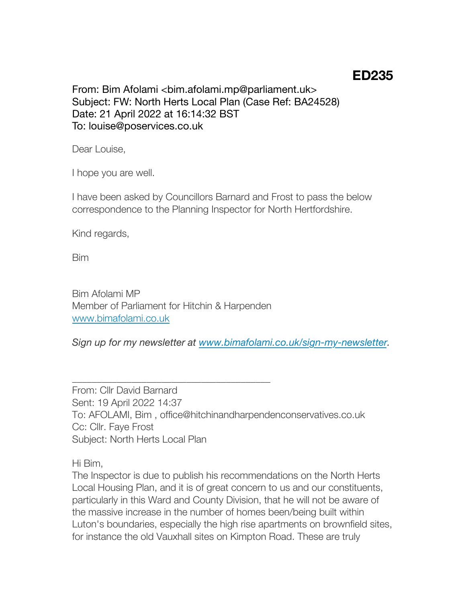## **ED235**

From: Bim Afolami <bim.afolami.mp@parliament.uk> Subject: FW: North Herts Local Plan (Case Ref: BA24528) Date: 21 April 2022 at 16:14:32 BST To: louise@poservices.co.uk

Dear Louise,

I hope you are well.

I have been asked by Councillors Barnard and Frost to pass the below correspondence to the Planning Inspector for North Hertfordshire.

Kind regards,

Bim

Bim Afolami MP Member of Parliament for Hitchin & Harpenden [www.bimafolami.co.uk](http://www.bimafolami.co.uk/)

\_\_\_\_\_\_\_\_\_\_\_\_\_\_\_\_\_\_\_\_\_\_\_\_\_\_\_\_\_\_\_\_\_\_\_\_\_\_\_\_

*Sign up for my newsletter at [www.bimafolami.co.uk/sign-my-newsletter.](http://www.bimafolami.co.uk/sign-my-newsletter)*

From: Cllr David Barnard Sent: 19 April 2022 14:37 To: AFOLAMI, Bim , office@hitchinandharpendenconservatives.co.uk Cc: Cllr. Faye Frost Subject: North Herts Local Plan

Hi Bim,

The Inspector is due to publish his recommendations on the North Herts Local Housing Plan, and it is of great concern to us and our constituents, particularly in this Ward and County Division, that he will not be aware of the massive increase in the number of homes been/being built within Luton's boundaries, especially the high rise apartments on brownfield sites, for instance the old Vauxhall sites on Kimpton Road. These are truly